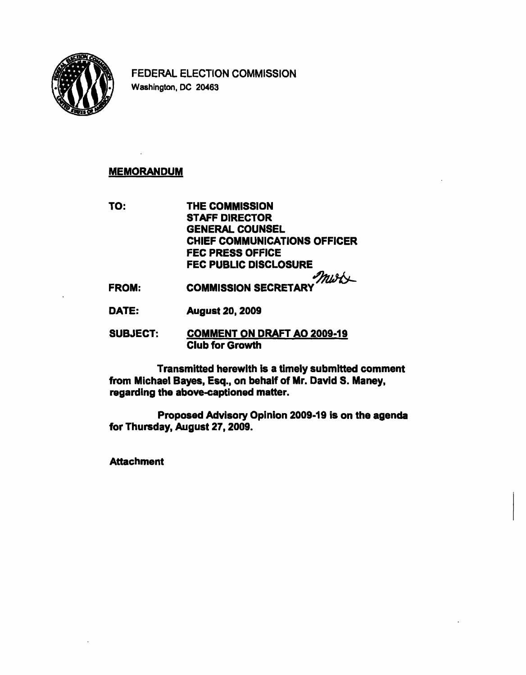

FEDERAL ELECTION COMMISSION Washington, DC 20463

# **MEMORANDUM**

TO: THE COMMISSION STAFF DIRECTOR GENERAL COUNSEL CHIEF COMMUNICATIONS OFFICER FEC PRESS OFFICE FEC PUBLIC DISCLOSURE 4

FROM: COMMISSION SECRETARY

DATE: August 20,2009

SUBJECT: COMMENT ON DRAFT AO 2009-19 Club for Growth

Transmitted herewith is a timely submitted comment from Michael Bayes, Esq., on behalf of Mr. David S. Maney, regarding the above-captioned matter.

Proposed Advisory Opinion 2009-19 is on the agenda for Thursday, August 27,2009.

**Attachment**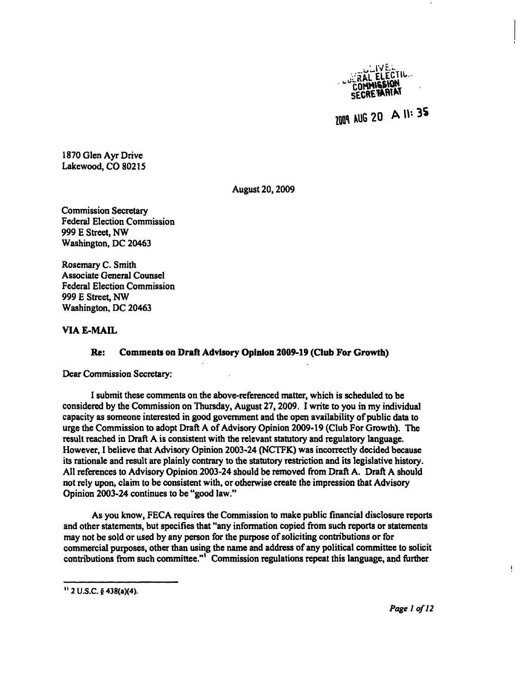

2009 AUG 20 A II: 35

1870 Glen Ayr Drive Lakewood, CO 80215

August 20,2009

Commission Secretary Federal Election Commission 999 E Street, NW Washington, DC 20463

Rosemary C. Smith Associate General Counsel Federal Election Commission 999 E Street, NW Washington, DC 20463

## VIA E-MAIL

## Re: Comments on Draft Advisory Opinion 2009-19 (Club For Growth)

Dear Commission Secretary:

I submit these comments on the above-referenced matter, which is scheduled to be considered by the Commission on Thursday, August 27,2009. I write to you in my individual capacity as someone interested in good government and the open availability of public data to urge the Commission to adopt Draft A of Advisory Opinion 2009-19 (Club For Growth). The result reached in Draft A is consistent with the relevant statutory and regulatory language. However, I believe that Advisory Opinion 2003-24 (NCTFK) was incorrectly decided because its rationale and result are plainly contrary to the statutory restriction and its legislative history. All references to Advisory Opinion 2003-24 should be removed from Draft A. Draft A should not rely upon, claim to be consistent with, or otherwise create the impression that Advisory Opinion 2003-24 continues to be "good law."

As you know, FECA requires the Commission to make public financial disclosure reports and other statements, but specifies that "any information copied from such reports or statements may not be sold or used by any person for the purpose of soliciting contributions or for commercial purposes, other than using the name and address of any political committee to solicit contributions from such committee."<sup>1</sup> Commission regulations repeat this language, and further

Ţ.

<sup>&</sup>quot;2U.S.C.§438(a)(4).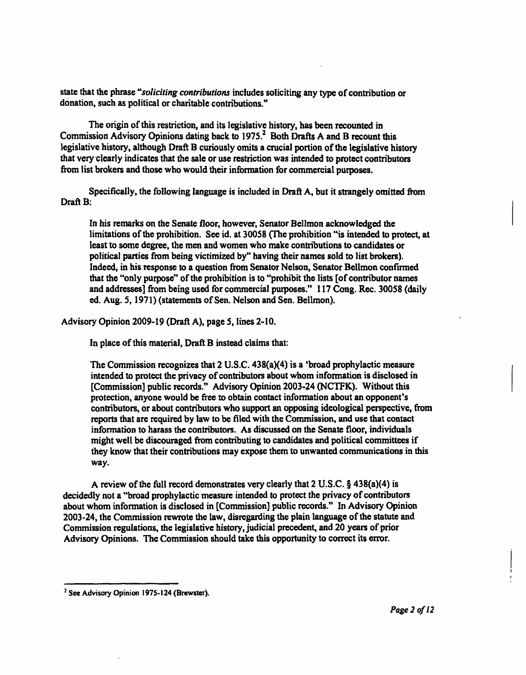state that the phrase "soliciting contributions includes soliciting any type of contribution or donation, such as political or charitable contributions."

The origin of this restriction, and its legislative history, has been recounted in Commission Advisory Opinions dating back to 1975.<sup>2</sup> Both Drafts A and B recount this legislative history, although Draft B curiously omits a crucial portion of the legislative history that very clearly indicates that the sale or use restriction was intended to protect contributors from list brokers and those who would their information for commercial purposes.

Specifically, the following language is included in Draft A, but it strangely omitted from Draft B:

In his remarks on the Senate floor, however, Senator Bellmon acknowledged the limitations of the prohibition. See id. at 30058 (The prohibition "is intended to protect, at least to some degree, the men and women who make contributions to candidates or political parties from being victimized by" having their names sold to list brokers). Indeed, in his response to a question from Senator Nelson, Senator Bellmon confirmed that the "only purpose" of the prohibition is to "prohibit the lists [of contributor names and addresses] from being used for commercial purposes." 117 Cong. Rec. 30058 (daily ed. Aug. 5,1971) (statements of Sen. Nelson and Sen. Bellmon).

Advisory Opinion 2009-19 (Draft A), page 5, lines 2-10.

In place of this material, Draft B instead claims that:

The Commission recognizes that 2 U.S.C. 438(a)(4) is a 'broad prophylactic measure intended to protect the privacy of contributors about whom information is disclosed in [Commission] public records." Advisory Opinion 2003-24 (NCTFK). Without this protection, anyone would be free to obtain contact information about an opponent's contributors, or about contributors who support an opposing ideological perspective, from reports that are required by law to be filed with the Commission, and use that contact information to harass the contributors. As discussed on the Senate floor, individuals might well be discouraged from contributing to candidates and political committees if they know that their contributions may expose them to unwanted communications in this way.

A review of the full record demonstrates very clearly that 2 U.S.C. § 438(a)(4) is decidedly not a "broad prophylactic measure intended to protect the privacy of contributors about whom information is disclosed in [Commission] public records." In Advisory Opinion 2003-24, the Commission rewrote the law, disregarding the plain language of the statute and Commission regulations, the legislative history, judicial precedent, and 20 years of prior Advisory Opinions. The Commission should take this opportunity to correct its error.

<sup>&</sup>lt;sup>2</sup> See Advisory Opinion 1975-124 (Brewster).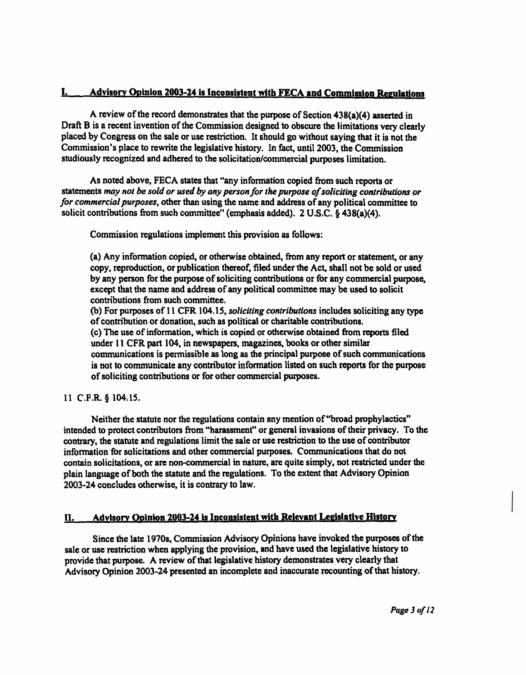# I. Advisory Opinion 2003-24 is Inconsistent with FECA and Commission Regulations

A review of the record demonstrates that the purpose of Section 438(a)(4) asserted in Draft B is a recent invention of the Commission designed to obscure the limitations very clearly placed by Congress on the sale or use restriction. It should go without saying that it is not the Commission's place to rewrite the legislative history. In fact, until 2003, the Commission studiously recognized and adhered to the solicitation/commercial purposes limitation.

As noted above, FECA states that "any information copied from such reports or statements may not be sold or used by any person for the purpose of soliciting contributions or for commercial purposes, other than using the name and address of any political committee to solicit contributions from such committee" (emphasis added). 2 U.S.C. § 438(a)(4).

Commission regulations implement this provision as follows:

(a) Any information copied, or otherwise obtained, from any report or statement, or any copy, reproduction, or publication thereof, filed under the Act, shall not be sold or used by any person for the purpose of soliciting contributions or for any commercial purpose, except that the name and address of any political committee may be used to solicit contributions from such committee.

(b) For purposes of 11 CFR 104.15, soliciting contributions includes soliciting any type of contribution or donation, such as political or charitable contributions. (c) The use of information, which is copied or otherwise obtained from reports filed under 11 CFR part 104, in newspapers, magazines, books or other similar communications is permissible as long as the principal purpose of such communications is not to communicate any contributor information listed on such reports for the purpose of soliciting contributions or for other commercial purposes.

11 C.F.R. § 104.15.

Neither the statute nor the regulations contain any mention of "broad prophylactics" intended to protect contributors from "harassment" or general invasions of their privacy. To the contrary, the statute and regulations limit the sale or use restriction to the use of contributor information for solicitations and other commercial purposes. Communications that do not contain solicitations, or are non-commercial in nature, are quite simply, not restricted under the plain language of both the statute and the regulations. To the extent that Advisory Opinion 2003-24 concludes otherwise, it is contrary to law.

# II. Advisory Opinion 2003-24 is Inconsistent with Relevant Legislative History

Since the late 1970s, Commission Advisory Opinions have invoked the purposes of the sale or use restriction when applying the provision, and have used the legislative history to provide that purpose. A review of that legislative history demonstrates very clearly that Advisory Opinion 2003-24 presented an incomplete and inaccurate recounting of that history.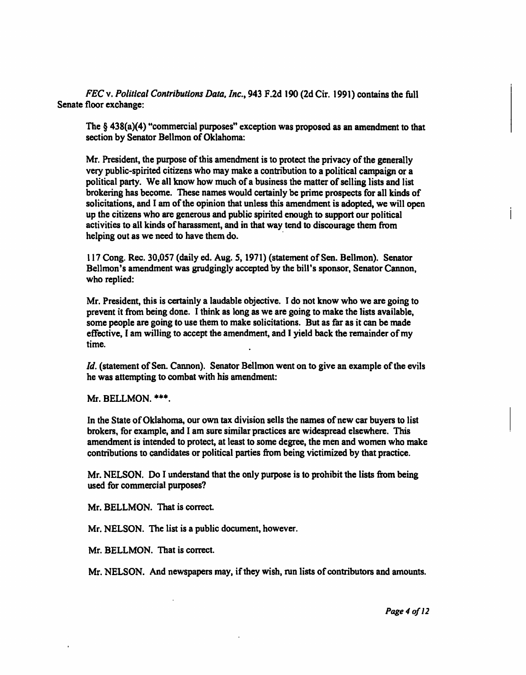FEC v. Political Contributions Data. Inc., 943 F.2d 190 (2d Cir. 1991) contains the full Senate floor exchange:

The § 438(a)(4) "commercial purposes" exception was proposed as an amendment to that section by Senator Bellmon of Oklahoma:

Mr. President, the purpose of this amendment is to protect the privacy of the generally very public-spirited citizens who may make a contribution to a political campaign or a political party. We all know how much of a business the matter of selling lists and list brokering has become. These names would certainly be prime prospects for all kinds of solicitations, and I am of the opinion that unless this amendment is adopted, we will open up the citizens who are generous and public spirited enough to support our political activities to all kinds of harassment, and in that way tend to discourage them from helping out as we need to have them do.

117 Cong. Rec. 30,057 (daily ed. Aug. 5, 1971) (statement of Sen. Bellmon). Senator Bellmon's amendment was grudgingly accepted by the bill's sponsor, Senator Cannon, who replied:

Mr. President, this is certainly a laudable objective. I do not know who we are going to prevent it from being done. I think as long as we are going to make the lists available, some people are going to use them to make solicitations. But as far as it can be made effective, I am willing to accept the amendment, and I yield back the remainder of my time.

Id. (statement of Sen. Cannon). Senator Bellmon went on to give an example of the evils he was attempting to combat with his amendment:

Mr. BELLMON. \*\*\*.

In the State of Oklahoma, our own tax division sells the names of new car buyers to list brokers, for example, and I am sure similar practices are widespread elsewhere. This amendment is intended to protect, at least to some degree, the men and women who make contributions to candidates or political parties from being victimized by that practice.

Mr. NELSON. Do I understand that the only purpose is to prohibit the lists from being used for commercial purposes?

Mr. BELLMON. That is correct.

Mr. NELSON. The list is a public document, however.

Mr. BELLMON. That is correct.

Mr. NELSON. And newspapers may, if they wish, run lists of contributors and amounts.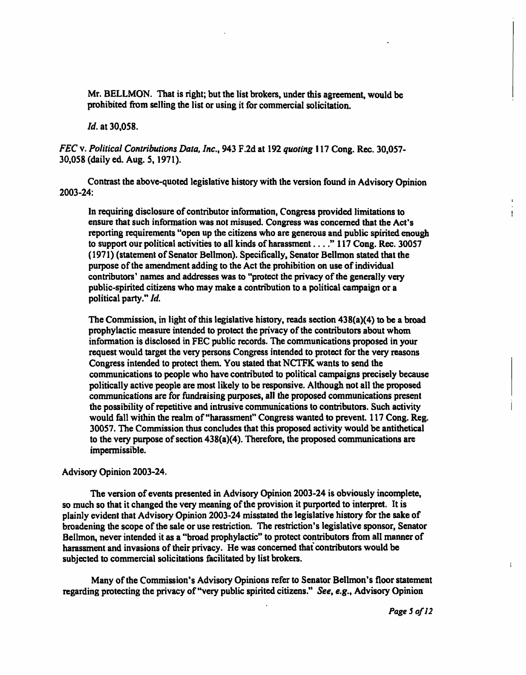Mr. BELLMON. That is right; but the list brokers, under this agreement, would be prohibited from selling the list or using it for commercial solicitation.

Id. at 30,058.

FEC v. Political Contributions Data, Inc., 943 F.2d at 192 quoting 117 Cong. Rec. 30,057- 30,058 (daily ed. Aug. 5,1971).

Contrast the above-quoted legislative history with the version found in Advisory Opinion 2003-24:

In requiring disclosure of contributor information, Congress provided limitations to ensure that such information was not misused. Congress was concerned that the Act's reporting requirements "open up the citizens who are generous and public spirited enough to support our political activities to all kinds of harassment . . . ." 117 Cong. Rec. 30057 (1971) (statement of Senator Bellmon). Specifically, Senator Bellmon stated that the purpose of the amendment adding to the Act the prohibition on use of individual contributors' names and addresses was to "protect the privacy of the generally very public-spirited citizens who may make a contribution to a political campaign or a political party." Id.

The Commission, in light of this legislative history, reads section 438(a)(4) to be a broad prophylactic measure intended to protect the privacy of the contributors about whom information is disclosed in FEC public records. The communications proposed in your request would target the very persons Congress intended to protect for the very reasons Congress intended to protect them. You stated that NCTFK wants to send the communications to people who have contributed to political campaigns precisely because politically active people are most likely to be responsive. Although not all the proposed communications are for fundraising purposes, all the proposed communications present the possibility of repetitive and intrusive communications to contributors. Such activity would fall within the realm of "harassment" Congress wanted to prevent. 117 Cong. Reg. 30057. The Commission thus concludes that this proposed activity would be antithetical to the very purpose of section  $438(a)(4)$ . Therefore, the proposed communications are impermissible.

#### Advisory Opinion 2003-24.

The version of events presented in Advisory Opinion 2003-24 is obviously incomplete, so much so that it changed the very meaning of the provision it purported to interpret. It is plainly evident that Advisory Opinion 2003-24 misstated the legislative history for the sake of broadening the scope of the sale or use restriction. The restriction's legislative sponsor, Senator Bellmon, never intended it as a "broad prophylactic" to protect contributors from all manner of harassment and invasions of their privacy. He was concerned that contributors would be subjected to commercial solicitations facilitated by list brokers.

Many of the Commission's Advisory Opinions refer to Senator Bellmon's floor statement regarding protecting the privacy of "very public spirited citizens." See, e.g., Advisory Opinion

 $\mathbf{I}$ 

 $\ddot{\phantom{a}}$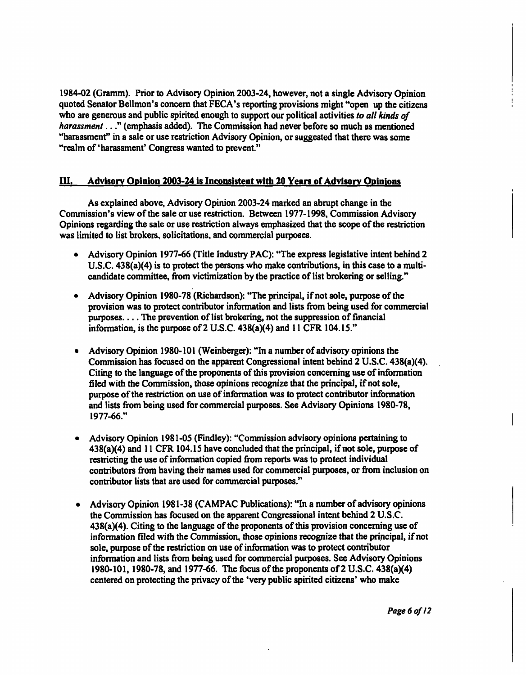1984-02 (Gramm). Prior to Advisory Opinion 2003-24, however, not a single Advisory Opinion quoted Senator Bellmon's concern that FECA's reporting provisions might "open up the citizens who are generous and public spirited enough to support our political activities to all kinds of harassment . . ." (emphasis added). The Commission had never before so much as mentioned "harassment" in a sale or use restriction Advisory Opinion, or suggested that there was some "realm of 'harassment' Congress wanted to prevent."

### 111. Advisory Opinion 2003-24 is Inconsistent with 20 Years of Advisory Opinions

As explained above, Advisory Opinion 2003-24 marked an abrupt change in the Commission's view of the sale or use restriction. Between 1977-1998, Commission Advisory Opinions regarding the sale or use restriction always emphasized that the scope of the restriction was limited to list brokers, solicitations, and commercial purposes.

- Advisory Opinion 1977-66 (Title Industry PAC): "The express legislative intent behind 2 U.S.C. 438(a)(4) is to protect the persons who make contributions, in this case to a multicandidate committee, from victimization by the practice of list brokering or selling."
- Advisory Opinion 1980-78 (Richardson): "The principal, if not sole, purpose of the provision was to protect contributor information and lists from being used for commercial purposes.... The prevention of list brokering, not the suppression of financial information, is the purpose of 2 U.S.C. 438(a)(4) and 11 CFR 104.15."
- Advisory Opinion 1980-101 (Weinberger): "In a number of advisory opinions the Commission has focused on the apparent Congressional intent behind 2 U.S.C. 438(a)(4). Citing to the language of the proponents of this provision concerning use of information filed with the Commission, those opinions recognize that the principal, if not sole, purpose of the restriction on use of information was to protect contributor information and lists from being used for commercial purposes. See Advisory Opinions 1980-78, 1977-66."
- Advisory Opinion 1981 -05 (Findley): "Commission advisory opinions pertaining to 438(a)(4) and 11 CFR 104.15 have concluded that the principal, if not sole, purpose of restricting the use of information copied from reports was to protect individual contributors from having their names used for commercial purposes, or from inclusion on contributor lists that are used for commercial purposes."
- Advisory Opinion 1981-38 (CAMPAC Publications): "In a number of advisory opinions the Commission has focused on the apparent Congressional intent behind 2 U.S.C. 438(a)(4). Citing to the language of the proponents of this provision concerning use of information filed with the Commission, those opinions recognize that the principal, if not sole, purpose of the restriction on use of information was to protect contributor information and lists from being used for commercial purposes. See Advisory Opinions 1980-101, 1980-78, and 1977-66. The focus of the proponents of 2 U.S.C. 438(a)(4) centered on protecting the privacy of the 'very public spirited citizens' who make

Page 6 of 12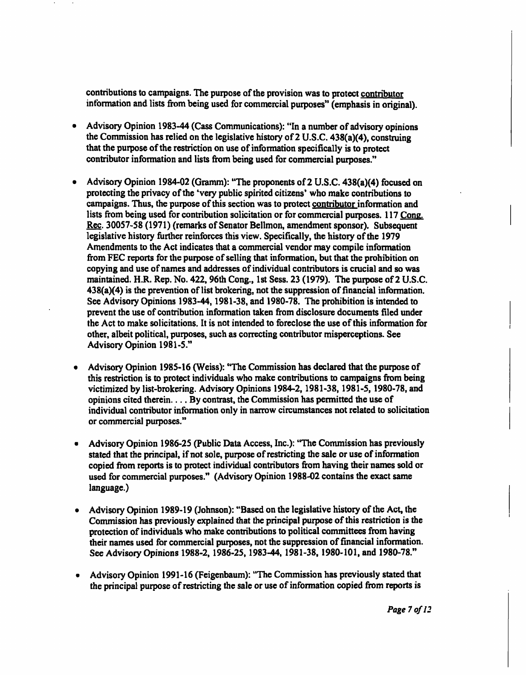contributions to campaigns. The purpose of the provision was to protect contributor information and lists from being used for commercial purposes" (emphasis in original).

- Advisory Opinion 1983-44 (Cass Communications): "In a number of advisory opinions  $\bullet$ the Commission has relied on the legislative history of 2 U.S.C. 438(a)(4), construing that the purpose of the restriction on use of information specifically is to protect contributor information and lists from being used for commercial purposes."
- Advisory Opinion 1984-02 (Gramm): "The proponents of 2 U.S.C. 438(a)(4) focused on  $\bullet$ protecting the privacy of the 'very public spirited citizens' who make contributions to campaigns. Thus, the purpose of this section was to protect contributor information and lists from being used for contribution solicitation or for commercial purposes. 117 Cone. Rec. 30057-58 (1971) (remarks of Senator Bellmon, amendment sponsor). Subsequent legislative history further reinforces this view. Specifically, the history of the 1979 Amendments to the Act indicates that a commercial vendor may compile information from FEC reports for the purpose of selling that information, but that the prohibition on copying and use of names and addresses of individual contributors is crucial and so was maintained. H.R. Rep. No. 422,96th Cong., 1st Sess. 23 (1979). The purpose of 2 U.S.C. 438(a)(4) is the prevention of list brokering, not the suppression of financial information. See Advisory Opinions 1983-44,1981-38, and 1980-78. The prohibition is intended to prevent the use of contribution information taken from disclosure documents filed under the Act to make solicitations. It is not intended to foreclose the use of this information for other, albeit political, purposes, such as correcting contributor misperceptions. See Advisory Opinion 1981-5."
- Advisory Opinion 1985-16 (Weiss): 'The Commission has declared that the purpose of this restriction is to protect individuals who make contributions to campaigns from being victimized by list-brokering. Advisory Opinions 1984-2, 1981-38,1981-5,1980-78, and opinions cited therein.  $\ldots$  By contrast, the Commission has permitted the use of individual contributor information only in narrow circumstances not related to solicitation or commercial purposes."
- Advisory Opinion 1986-25 (Public Data Access, Inc.): "The Commission has previously stated that the principal, if not sole, purpose of restricting the sale or use of information copied from reports is to protect individual contributors from having their names sold or used for commercial purposes." (Advisory Opinion 1988-02 contains the exact same language.)
- Advisory Opinion 1989-19 (Johnson): "Based on the legislative history of the Act, the Commission has previously explained that the principal purpose of this restriction is the protection of individuals who make contributions to political committees from having their names used for commercial purposes, not the suppression of financial information. See Advisory Opinions 1988-2, 1986-25, 1983-44, 1981-38, 1980-101, and 1980-78."
- Advisory Opinion 1991-16 (Feigenbaum): "The Commission has previously stated that the principal purpose of restricting the sale or use of information copied from reports is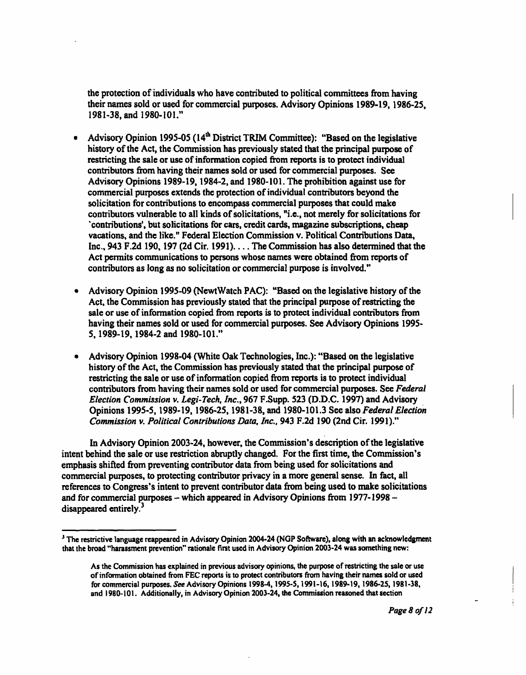the protection of individuals who have contributed to political committees from having their names sold or used for commercial purposes. Advisory Opinions 1989-19, 1986-25, 1981-38, and 1980-101."

- Advisory Opinion 1995-05 (14<sup>th</sup> District TRIM Committee): "Based on the legislative history of the Act, the Commission has previously stated that the principal purpose of restricting the sale or use of information copied from reports is to protect individual contributors from having their names sold or used for commercial purposes. See Advisory Opinions 1989-19, 1984-2, and 1980-101. The prohibition against use for commercial purposes extends the protection of individual contributors beyond the solicitation for contributions to encompass commercial purposes that could make contributors vulnerable to all kinds of solicitations, "i.e., not merely for solicitations for 'contributions', but solicitations for cars, credit cards, magazine subscriptions, cheap vacations, and the like." Federal Election Commission v. Political Contributions Data, Inc., 943 F.2d 190, 197 (2d Cir. 1991).  $\ldots$  The Commission has also determined that the Act permits communications to persons whose names were obtained from reports of contributors as long as no solicitation or commercial purpose is involved."
- Advisory Opinion 1995-09 (NewtWatch PAC): "Based on the legislative history of the Act, the Commission has previously stated that the principal purpose of restricting the sale or use of information copied from reports is to protect individual contributors from having their names sold or used for commercial purposes. See Advisory Opinions 1995- 5,1989-19,1984-2 and 1980-101."
- Advisory Opinion 1998-04 (White Oak Technologies, Inc.): "Based on the legislative history of the Act, the Commission has previously stated that the principal purpose of restricting the sale or use of information copied from reports is to protect individual contributors from having their names sold or used for commercial purposes. See Federal Election Commission v. Legi-Tech, Inc., 967 F.Supp. 523 (D.D.C. 1997) and Advisory Opinions 1995-5, 1989-19, 1986-25, 1981-38, and 1980-101.3 See also Federal Election Commission v. Political Contributions Data, Inc., 943 F.2d 190 (2nd Cir. 1991)."

In Advisory Opinion 2003-24, however, the Commission's description of the legislative intent behind the sale or use restriction abruptly changed. For the first time, the Commission's emphasis shifted from preventing contributor data from being used for solicitations and commercial purposes, to protecting contributor privacy in a more general sense. In fact, all references to Congress's intent to prevent contributor data from being used to make solicitations and for commercial purposes - which appeared in Advisory Opinions from 1977-1998 disappeared entirely.<sup>3</sup>

<sup>&</sup>lt;sup>3</sup> The restrictive language reappeared in Advisory Opinion 2004-24 (NGP Software), along with an acknowledgment that the broad "harassment prevention" rationale first used in Advisory Opinion 2003-24 was something new:

As the Commission has explained in previous advisory opinions, the purpose of restricting the sale or use of information obtained from FEC reports is to protect contributors from having their names sold or used for commercial purposes. See Advisory Opinions 1998-4,1995-5,1991-16,1989-19,1986-25,1981-38, and 1980-101. Additionally, in Advisory Opinion 2003-24, the Commission reasoned that section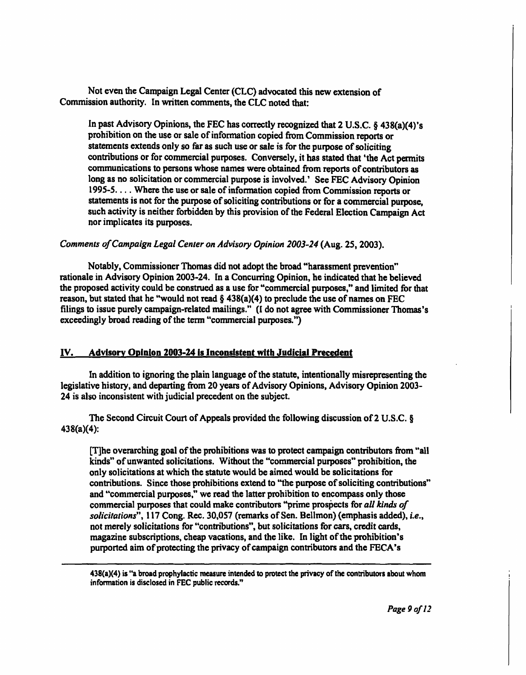Not even the Campaign Legal Center (CLC) advocated this new extension of Commission authority. In written comments, the CLC noted that:

In past Advisory Opinions, the FEC has correctly recognized that 2 U.S.C. § 438(a)(4)'s prohibition on the use or sale of information copied from Commission reports or statements extends only so far as such use or sale is for the purpose of soliciting contributions or for commercial purposes. Conversely, it has stated that 'the Act permits communications to persons whose names were obtained from reports of contributors as long as no solicitation or commercial purpose is involved.' See FEC Advisory Opinion 1995-5. . . . Where the use or sale of information copied from Commission reports or statements is not for the purpose of soliciting contributions or for a commercial purpose, such activity is neither forbidden by this provision of the Federal Election Campaign Act nor implicates its purposes.

## Comments of Campaign Legal Center on Advisory Opinion 2003-24 (Aug. 25, 2003).

Notably, Commissioner Thomas did not adopt the broad "harassment prevention" rationale in Advisory Opinion 2003-24. In a Concurring Opinion, he indicated that he believed the proposed activity could be construed as a use for "commercial purposes," and limited for that reason, but stated that he "would not read  $\S$  438(a)(4) to preclude the use of names on FEC filings to issue purely campaign-related mailings." (I do not agree with Commissioner Thomas's exceedingly broad reading of the term "commercial purposes.")

### IV. Advisory Opinion 2003-24 is Inconsistent with Judicial Precedent

In addition to ignoring the plain language of the statute, intentionally misrepresenting the legislative history, and departing from 20 years of Advisory Opinions, Advisory Opinion 2003- 24 is also inconsistent with judicial precedent on the subject.

The Second Circuit Court of Appeals provided the following discussion of 2 U.S.C. § 438(a)(4):

[T]he overarching goal of the prohibitions was to protect campaign contributors from "all kinds" of unwanted solicitations. Without the "commercial purposes" prohibition, the only solicitations at which the statute would be aimed would be solicitations for contributions. Since those prohibitions extend to "the purpose of soliciting contributions" and "commercial purposes," we read the latter prohibition to encompass only those commercial purposes that could make contributors "prime prospects for all kinds of solicitations", 117 Cong. Rec. 30,057 (remarks of Sen. Bellmon) (emphasis added), i.e., not merely solicitations for "contributions", but solicitations for cars, credit cards, magazine subscriptions, cheap vacations, and the like. In light of the prohibition's purported aim of protecting the privacy of campaign contributors and the FECA's

438(a)(4) is "a broad prophylactic measure intended to protect the privacy of the contributors about whom information is disclosed in FEC public records."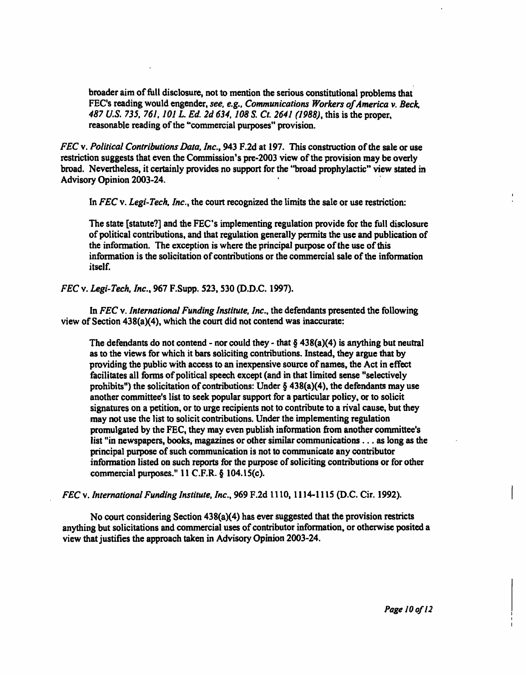broader aim of full disclosure, not to mention the serious constitutional problems that FEC's reading would engender, see, e.g., Communications Workers of America v. Beck, 487 U.S. 735, 761, 101 L. Ed. 2d 634, 108 S. Ct. 2641 (1988), this is the proper, reasonable reading of the "commercial purposes" provision.

FEC v. Political Contributions Data, Inc., 943 F.2d at 197. This construction of the sale or use restriction suggests that even the Commission's pre-2003 view of the provision may be overly broad. Nevertheless, it certainly provides no support for the "broad prophylactic" view stated in Advisory Opinion 2003-24.

In FEC v. Legi-Tech, Inc., the court recognized the limits the sale or use restriction:

The state [statute?] and the FEC's implementing regulation provide for the full disclosure of political contributions, and that regulation generally permits the use and publication of the information. The exception is where the principal purpose of the use of this information is the solicitation of contributions or the commercial sale of the information itself.

FEC v. Legi-Tech. Inc., 967 F.Supp. 523,530 (D.D.C. 1997).

In FEC v. International Funding Institute, Inc., the defendants presented the following view of Section 438(a)(4), which the court did not contend was inaccurate:

The defendants do not contend - nor could they - that  $\S$  438(a)(4) is anything but neutral as to the views for which it bars soliciting contributions. Instead, they argue that by providing the public with access to an inexpensive source of names, the Act in effect facilitates all forms of political speech except (and in that limited sense "selectively prohibits") the solicitation of contributions: Under  $\S$  438(a)(4), the defendants may use another committee's list to seek popular support for a particular policy, or to solicit signatures on a petition, or to urge recipients not to contribute to a rival cause, but they may not use the list to solicit contributions. Under the implementing regulation promulgated by the FEC, they may even publish information from another committee's list "in newspapers, books, magazines or other similar communications ... as long as the principal purpose of such communication is not to communicate any contributor information listed on such reports for the purpose of soliciting contributions or for other commercial purposes." 11 C.F.R. § 104.15(c).

FEC v. International Funding Institute. Inc., 969 F.2d 1110, 1114-1115 (D.C. Cir. 1992).

No court considering Section 438(a)(4) has ever suggested that the provision restricts anything but solicitations and commercial uses of contributor information, or otherwise posited a view that justifies the approach taken in Advisory Opinion 2003-24.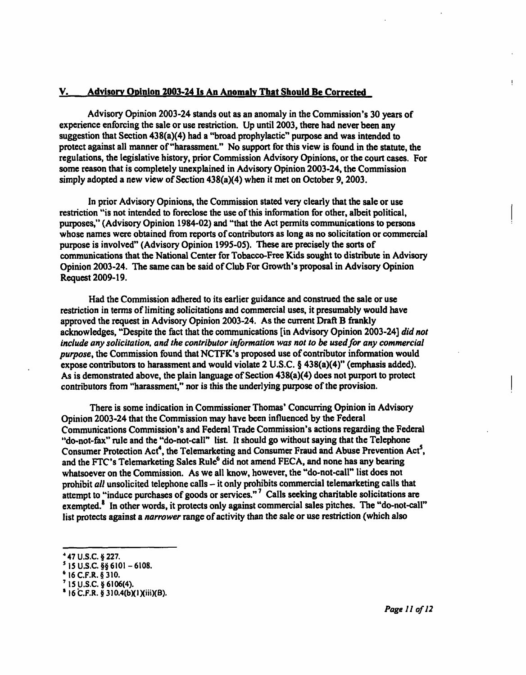### V. Advisory Opinion 2003-24 Is An Anomaiv That Should Be Corrected

Advisory Opinion 2003-24 stands out as an anomaly in the Commission's 30 years of experience enforcing the sale or use restriction. Up until 2003, there had never been any suggestion that Section 438(a)(4) had a "broad prophylactic" purpose and was intended to protect against all manner of "harassment." No support for this view is found in the statute, the regulations, the legislative history, prior Commission Advisory Opinions, or the court cases. For some reason that is completely unexplained in Advisory Opinion 2003-24, the Commission simply adopted a new view of Section 438(a)(4) when it met on October 9, 2003.

In prior Advisory Opinions, the Commission stated very clearly that the sale or use restriction "is not intended to foreclose the use of this information for other, albeit political, purposes," (Advisory Opinion 1984-02) and "that the Act permits communications to persons whose names were obtained from reports of contributors as long as no solicitation or commercial purpose is involved" (Advisory Opinion 199S-OS). These are precisely the sorts of communications that the National Center for Tobacco-Free Kids sought to distribute in Advisory Opinion 2003-24. The same can be said of Club For Growth's proposal in Advisory Opinion Request 2009-19.

Had the Commission adhered to its earlier guidance and construed the sale or use restriction in terms of limiting solicitations and commercial uses, it presumably would have approved the request in Advisory Opinion 2003-24. As the current Draft B frankly acknowledges, "Despite the fact that the communications [in Advisory Opinion 2003-24] did not include any solicitation, and the contributor information was not to be used for any commercial purpose, the Commission found thatNCTFK's proposed use of contributor information would expose contributors to harassment and would violate 2 U.S.C. § 438(a)(4)" (emphasis added). As is demonstrated above, the plain language of Section 438(a)(4) does not purport to protect contributors from "harassment," nor is this the underlying purpose of the provision.

There is some indication in Commissioner Thomas' Concurring Opinion in Advisory Opinion 2003-24 that the Commission may have been influenced by the Federal Communications Commission's and Federal Trade Commission's actions regarding the Federal "do-not-fax" rule and the "do-not-call" list. It should go without saying that the Telephone Consumer Protection Act<sup>4</sup>, the Telemarketing and Consumer Fraud and Abuse Prevention Act<sup>5</sup>, and the FTC's Telemarketing Sales Rule<sup>6</sup> did not amend FECA, and none has any bearing whatsoever on the Commission. As we all know, however, the "do-not-call" list does not prohibit all unsolicited telephone calls  $-$  it only prohibits commercial telemarketing calls that attempt to "induce purchases of goods or services."<sup>7</sup> Calls seeking charitable solicitations are exempted.<sup>8</sup> In other words, it protects only against commercial sales pitches. The "do-not-call" list protects against a narrower range of activity than the sale or use restriction (which also

I.

<sup>4</sup> 47U.S.C.§227.

 $^5$  15 U.S.C. §§ 6101 – 6108.

<sup>6</sup> 16C.F.R.§310.

<sup>7</sup> 15U.S.C.§6106(4).

 $^8$  16 C.F.R. § 310.4(b)(1)(iii)(B).